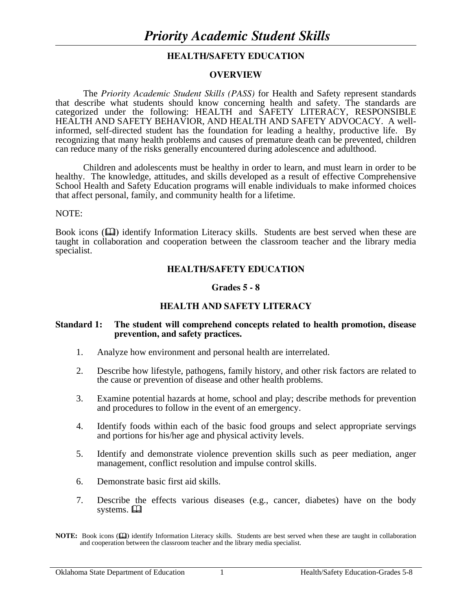# **HEALTH/SAFETY EDUCATION**

#### **OVERVIEW**

The *Priority Academic Student Skills (PASS)* for Health and Safety represent standards that describe what students should know concerning health and safety. The standards are categorized under the following: HEALTH and SAFETY LITERACY, RESPONSIBLE HEALTH AND SAFETY BEHAVIOR, AND HEALTH AND SAFETY ADVOCACY. A wellinformed, self-directed student has the foundation for leading a healthy, productive life. By recognizing that many health problems and causes of premature death can be prevented, children can reduce many of the risks generally encountered during adolescence and adulthood.

 Children and adolescents must be healthy in order to learn, and must learn in order to be healthy. The knowledge, attitudes, and skills developed as a result of effective Comprehensive School Health and Safety Education programs will enable individuals to make informed choices that affect personal, family, and community health for a lifetime.

#### NOTE:

Book icons ( $\Box$ ) identify Information Literacy skills. Students are best served when these are taught in collaboration and cooperation between the classroom teacher and the library media specialist.

# **HEALTH/SAFETY EDUCATION**

#### **Grades 5 - 8**

# **HEALTH AND SAFETY LITERACY**

#### **Standard 1: The student will comprehend concepts related to health promotion, disease prevention, and safety practices.**

- 1. Analyze how environment and personal health are interrelated.
- 2. Describe how lifestyle, pathogens, family history, and other risk factors are related to the cause or prevention of disease and other health problems.
- 3. Examine potential hazards at home, school and play; describe methods for prevention and procedures to follow in the event of an emergency.
- 4. Identify foods within each of the basic food groups and select appropriate servings and portions for his/her age and physical activity levels.
- 5. Identify and demonstrate violence prevention skills such as peer mediation, anger management, conflict resolution and impulse control skills.
- 6. Demonstrate basic first aid skills.
- 7. Describe the effects various diseases (e.g., cancer, diabetes) have on the body systems.  $\Box$

**NOTE:** Book icons ( $\Box$ ) identify Information Literacy skills. Students are best served when these are taught in collaboration and cooperation between the classroom teacher and the library media specialist.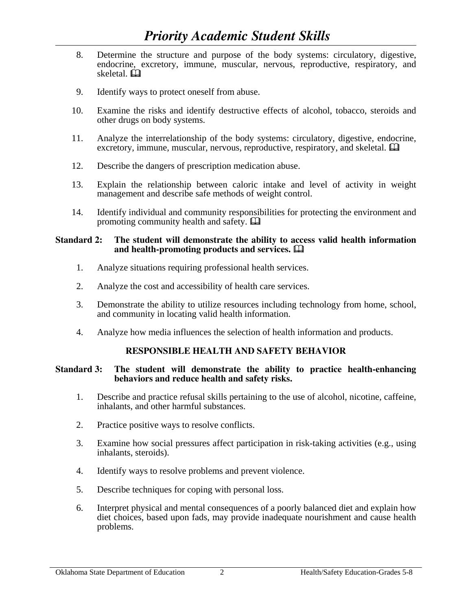- 8. Determine the structure and purpose of the body systems: circulatory, digestive, endocrine, excretory, immune, muscular, nervous, reproductive, respiratory, and skeletal.
- 9. Identify ways to protect oneself from abuse.
- 10. Examine the risks and identify destructive effects of alcohol, tobacco, steroids and other drugs on body systems.
- 11. Analyze the interrelationship of the body systems: circulatory, digestive, endocrine, excretory, immune, muscular, nervous, reproductive, respiratory, and skeletal.  $\Box$
- 12. Describe the dangers of prescription medication abuse.
- 13. Explain the relationship between caloric intake and level of activity in weight management and describe safe methods of weight control.
- 14. Identify individual and community responsibilities for protecting the environment and promoting community health and safety.  $\Box$

#### **Standard 2: The student will demonstrate the ability to access valid health information and health-promoting products and services.**

- 1. Analyze situations requiring professional health services.
- 2. Analyze the cost and accessibility of health care services.
- 3. Demonstrate the ability to utilize resources including technology from home, school, and community in locating valid health information.
- 4. Analyze how media influences the selection of health information and products.

# **RESPONSIBLE HEALTH AND SAFETY BEHAVIOR**

#### **Standard 3: The student will demonstrate the ability to practice health-enhancing behaviors and reduce health and safety risks.**

- 1. Describe and practice refusal skills pertaining to the use of alcohol, nicotine, caffeine, inhalants, and other harmful substances.
- 2. Practice positive ways to resolve conflicts.
- 3. Examine how social pressures affect participation in risk-taking activities (e.g., using inhalants, steroids).
- 4. Identify ways to resolve problems and prevent violence.
- 5. Describe techniques for coping with personal loss.
- 6. Interpret physical and mental consequences of a poorly balanced diet and explain how diet choices, based upon fads, may provide inadequate nourishment and cause health problems.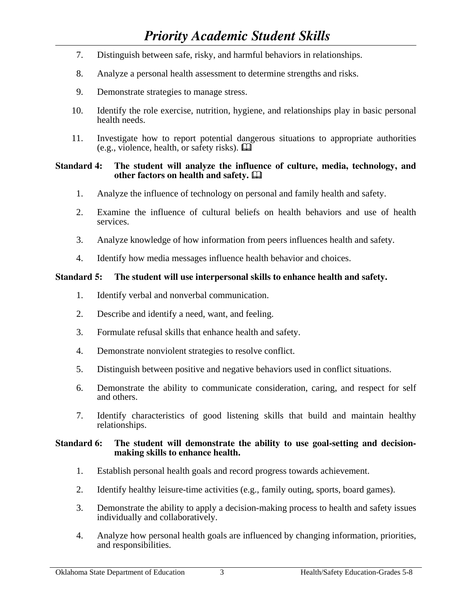- 7. Distinguish between safe, risky, and harmful behaviors in relationships.
- 8. Analyze a personal health assessment to determine strengths and risks.
- 9. Demonstrate strategies to manage stress.
- 10. Identify the role exercise, nutrition, hygiene, and relationships play in basic personal health needs.
- 11. Investigate how to report potential dangerous situations to appropriate authorities (e.g., violence, health, or safety risks).

# **Standard 4: The student will analyze the influence of culture, media, technology, and other factors on health and safety.**

- 1. Analyze the influence of technology on personal and family health and safety.
- 2. Examine the influence of cultural beliefs on health behaviors and use of health services.
- 3. Analyze knowledge of how information from peers influences health and safety.
- 4. Identify how media messages influence health behavior and choices.

# **Standard 5: The student will use interpersonal skills to enhance health and safety.**

- 1. Identify verbal and nonverbal communication.
- 2. Describe and identify a need, want, and feeling.
- 3. Formulate refusal skills that enhance health and safety.
- 4. Demonstrate nonviolent strategies to resolve conflict.
- 5. Distinguish between positive and negative behaviors used in conflict situations.
- 6. Demonstrate the ability to communicate consideration, caring, and respect for self and others.
- 7. Identify characteristics of good listening skills that build and maintain healthy relationships.

# **Standard 6: The student will demonstrate the ability to use goal-setting and decisionmaking skills to enhance health.**

- 1. Establish personal health goals and record progress towards achievement.
- 2. Identify healthy leisure-time activities (e.g., family outing, sports, board games).
- 3. Demonstrate the ability to apply a decision-making process to health and safety issues individually and collaboratively.
- 4. Analyze how personal health goals are influenced by changing information, priorities, and responsibilities.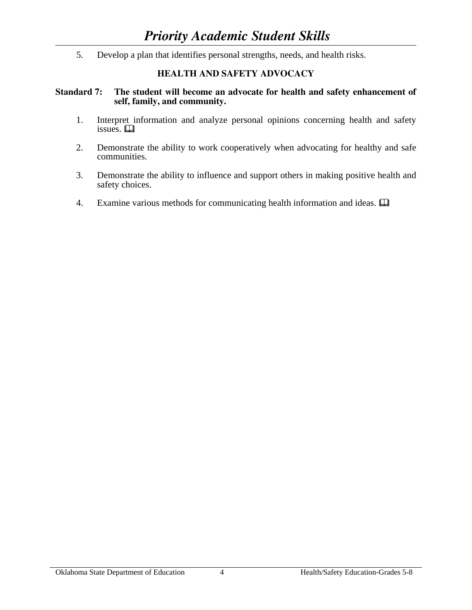5. Develop a plan that identifies personal strengths, needs, and health risks.

# **HEALTH AND SAFETY ADVOCACY**

# **Standard 7: The student will become an advocate for health and safety enhancement of self, family, and community.**

- 1. Interpret information and analyze personal opinions concerning health and safety issues.  $\Box$
- 2. Demonstrate the ability to work cooperatively when advocating for healthy and safe communities.
- 3. Demonstrate the ability to influence and support others in making positive health and safety choices.
- 4. Examine various methods for communicating health information and ideas.  $\Box$